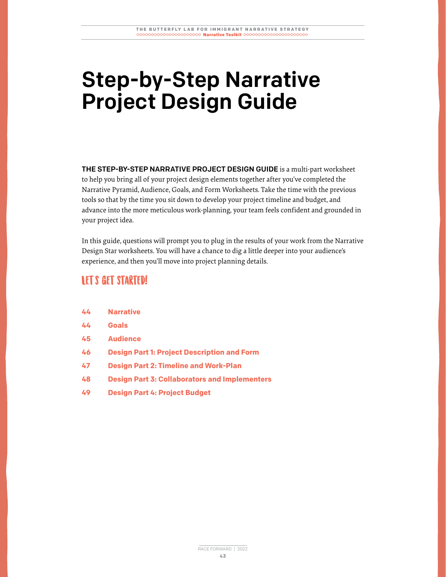# Step-by-Step Narrative Project Design Guide

THE STEP-BY-STEP NARRATIVE PROJECT DESIGN GUIDE is a multi-part worksheet to help you bring all of your project design elements together after you've completed the Narrative Pyramid, Audience, Goals, and Form Worksheets. Take the time with the previous tools so that by the time you sit down to develop your project timeline and budget, and advance into the more meticulous work-planning, your team feels confident and grounded in your project idea.

In this guide, questions will prompt you to plug in the results of your work from the Narrative Design Star worksheets. You will have a chance to dig a little deeper into your audience's experience, and then you'll move into project planning details.

#### **LET'S GET STARTED!**

| 44 | <b>Narrative</b> |
|----|------------------|
|    |                  |

- **44 Goals**
- **45 Audience**
- **46 Design Part 1: Project Description and Form**
- **47 Design Part 2: Timeline and Work-Plan**
- **48 Design Part 3: Collaborators and Implementers**
- **49 Design Part 4: Project Budget**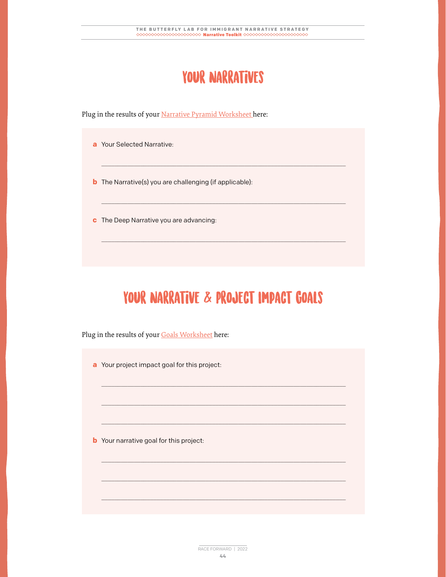#### YOUR NARRATIVES

\_\_\_\_\_\_\_\_\_\_\_\_\_\_\_\_\_\_\_\_\_\_\_\_\_\_\_\_\_\_\_\_\_\_\_\_\_\_\_\_\_\_\_\_\_\_\_\_\_\_\_\_\_\_\_\_\_\_\_\_\_\_\_\_\_\_\_\_\_\_\_\_\_\_\_

\_\_\_\_\_\_\_\_\_\_\_\_\_\_\_\_\_\_\_\_\_\_\_\_\_\_\_\_\_\_\_\_\_\_\_\_\_\_\_\_\_\_\_\_\_\_\_\_\_\_\_\_\_\_\_\_\_\_\_\_\_\_\_\_\_\_\_\_\_\_\_\_\_\_\_

 $\overline{\phantom{a}}$  , and the contribution of the contribution of the contribution of the contribution of the contribution of the contribution of the contribution of the contribution of the contribution of the contribution of the

Plug in the results of your Narrative Pyramid Worksheet here:

- **a** Your Selected Narrative:
- **b** The Narrative(s) you are challenging (if applicable):
- **c** The Deep Narrative you are advancing:

## YOUR NARRATIVE & PROJECT IMPACT GOALS

\_\_\_\_\_\_\_\_\_\_\_\_\_\_\_\_\_\_\_\_\_\_\_\_\_\_\_\_\_\_\_\_\_\_\_\_\_\_\_\_\_\_\_\_\_\_\_\_\_\_\_\_\_\_\_\_\_\_\_\_\_\_\_\_\_\_\_\_\_\_\_\_\_\_\_

\_\_\_\_\_\_\_\_\_\_\_\_\_\_\_\_\_\_\_\_\_\_\_\_\_\_\_\_\_\_\_\_\_\_\_\_\_\_\_\_\_\_\_\_\_\_\_\_\_\_\_\_\_\_\_\_\_\_\_\_\_\_\_\_\_\_\_\_\_\_\_\_\_\_\_

 $\overline{\phantom{a}}$  , and the contribution of the contribution of the contribution of the contribution of the contribution of the contribution of the contribution of the contribution of the contribution of the contribution of the

\_\_\_\_\_\_\_\_\_\_\_\_\_\_\_\_\_\_\_\_\_\_\_\_\_\_\_\_\_\_\_\_\_\_\_\_\_\_\_\_\_\_\_\_\_\_\_\_\_\_\_\_\_\_\_\_\_\_\_\_\_\_\_\_\_\_\_\_\_\_\_\_\_\_\_

 $\overline{\phantom{a}}$  , and the contribution of the contribution of the contribution of the contribution of the contribution of the contribution of the contribution of the contribution of the contribution of the contribution of the

\_\_\_\_\_\_\_\_\_\_\_\_\_\_\_\_\_\_\_\_\_\_\_\_\_\_\_\_\_\_\_\_\_\_\_\_\_\_\_\_\_\_\_\_\_\_\_\_\_\_\_\_\_\_\_\_\_\_\_\_\_\_\_\_\_\_\_\_\_\_\_\_\_\_\_

Plug in the results of your Goals Worksheet here:

**a** Your project impact goal for this project:

**b** Your narrative goal for this project: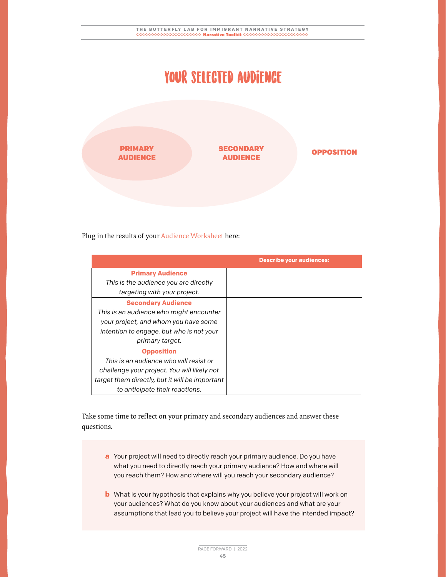#### Your selected audience



Plug in the results of your **Audience Worksheet** here:

|                                                | <b>Describe your audiences:</b> |
|------------------------------------------------|---------------------------------|
| <b>Primary Audience</b>                        |                                 |
| This is the audience you are directly          |                                 |
| targeting with your project.                   |                                 |
| <b>Secondary Audience</b>                      |                                 |
| This is an audience who might encounter        |                                 |
| your project, and whom you have some           |                                 |
| intention to engage, but who is not your       |                                 |
| primary target.                                |                                 |
| <b>Opposition</b>                              |                                 |
| This is an audience who will resist or         |                                 |
| challenge your project. You will likely not    |                                 |
| target them directly, but it will be important |                                 |
| to anticipate their reactions.                 |                                 |

Take some time to reflect on your primary and secondary audiences and answer these questions.

- **a** Your project will need to directly reach your primary audience. Do you have what you need to directly reach your primary audience? How and where will you reach them? How and where will you reach your secondary audience?
- **b** What is your hypothesis that explains why you believe your project will work on your audiences? What do you know about your audiences and what are your assumptions that lead you to believe your project will have the intended impact?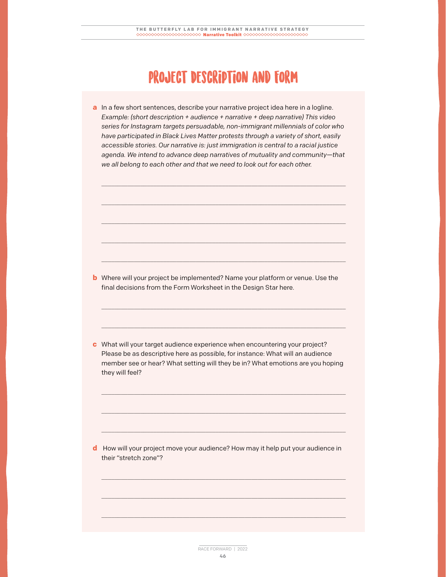#### Project Description and Form

**a** In a few short sentences, describe your narrative project idea here in a logline. *Example: (short description + audience + narrative + deep narrative) This video series for Instagram targets persuadable, non-immigrant millennials of color who have participated in Black Lives Matter protests through a variety of short, easily accessible stories. Our narrative is: just immigration is central to a racial justice agenda. We intend to advance deep narratives of mutuality and community—that we all belong to each other and that we need to look out for each other.*

 $\overline{\phantom{a}}$  , and the contribution of the contribution of the contribution of the contribution of the contribution of the contribution of the contribution of the contribution of the contribution of the contribution of the

\_\_\_\_\_\_\_\_\_\_\_\_\_\_\_\_\_\_\_\_\_\_\_\_\_\_\_\_\_\_\_\_\_\_\_\_\_\_\_\_\_\_\_\_\_\_\_\_\_\_\_\_\_\_\_\_\_\_\_\_\_\_\_\_\_\_\_\_\_\_\_\_\_\_\_

\_\_\_\_\_\_\_\_\_\_\_\_\_\_\_\_\_\_\_\_\_\_\_\_\_\_\_\_\_\_\_\_\_\_\_\_\_\_\_\_\_\_\_\_\_\_\_\_\_\_\_\_\_\_\_\_\_\_\_\_\_\_\_\_\_\_\_\_\_\_\_\_\_\_\_

 $\overline{\phantom{a}}$  , and the contribution of the contribution of the contribution of the contribution of the contribution of the contribution of the contribution of the contribution of the contribution of the contribution of the

\_\_\_\_\_\_\_\_\_\_\_\_\_\_\_\_\_\_\_\_\_\_\_\_\_\_\_\_\_\_\_\_\_\_\_\_\_\_\_\_\_\_\_\_\_\_\_\_\_\_\_\_\_\_\_\_\_\_\_\_\_\_\_\_\_\_\_\_\_\_\_\_\_\_\_

\_\_\_\_\_\_\_\_\_\_\_\_\_\_\_\_\_\_\_\_\_\_\_\_\_\_\_\_\_\_\_\_\_\_\_\_\_\_\_\_\_\_\_\_\_\_\_\_\_\_\_\_\_\_\_\_\_\_\_\_\_\_\_\_\_\_\_\_\_\_\_\_\_\_\_

 $\overline{\phantom{a}}$  , and the contribution of the contribution of the contribution of the contribution of the contribution of the contribution of the contribution of the contribution of the contribution of the contribution of the

**b** Where will your project be implemented? Name your platform or venue. Use the final decisions from the Form Worksheet in the Design Star here.

**c** What will your target audience experience when encountering your project? Please be as descriptive here as possible, for instance: What will an audience member see or hear? What setting will they be in? What emotions are you hoping they will feel?

\_\_\_\_\_\_\_\_\_\_\_\_\_\_\_\_\_\_\_\_\_\_\_\_\_\_\_\_\_\_\_\_\_\_\_\_\_\_\_\_\_\_\_\_\_\_\_\_\_\_\_\_\_\_\_\_\_\_\_\_\_\_\_\_\_\_\_\_\_\_\_\_\_\_\_

 $\overline{\phantom{a}}$  , and the contribution of the contribution of the contribution of the contribution of the contribution of the contribution of the contribution of the contribution of the contribution of the contribution of the

\_\_\_\_\_\_\_\_\_\_\_\_\_\_\_\_\_\_\_\_\_\_\_\_\_\_\_\_\_\_\_\_\_\_\_\_\_\_\_\_\_\_\_\_\_\_\_\_\_\_\_\_\_\_\_\_\_\_\_\_\_\_\_\_\_\_\_\_\_\_\_\_\_\_\_

\_\_\_\_\_\_\_\_\_\_\_\_\_\_\_\_\_\_\_\_\_\_\_\_\_\_\_\_\_\_\_\_\_\_\_\_\_\_\_\_\_\_\_\_\_\_\_\_\_\_\_\_\_\_\_\_\_\_\_\_\_\_\_\_\_\_\_\_\_\_\_\_\_\_\_

 $\overline{\phantom{a}}$  , and the contribution of the contribution of the contribution of the contribution of the contribution of the contribution of the contribution of the contribution of the contribution of the contribution of the

\_\_\_\_\_\_\_\_\_\_\_\_\_\_\_\_\_\_\_\_\_\_\_\_\_\_\_\_\_\_\_\_\_\_\_\_\_\_\_\_\_\_\_\_\_\_\_\_\_\_\_\_\_\_\_\_\_\_\_\_\_\_\_\_\_\_\_\_\_\_\_\_\_\_\_

**d** How will your project move your audience? How may it help put your audience in their "stretch zone"?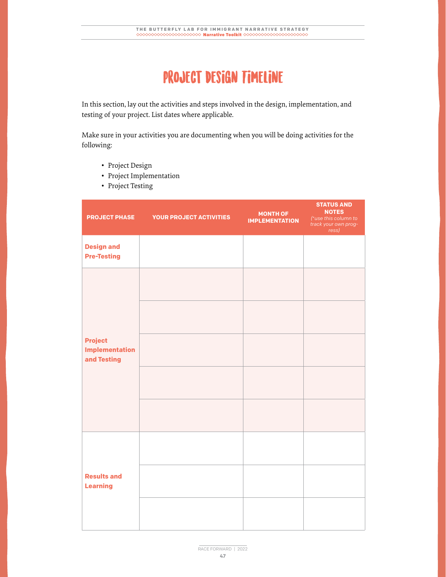#### PROJECT DESIGN TIMELINE

In this section, lay out the activities and steps involved in the design, implementation, and testing of your project. List dates where applicable.

Make sure in your activities you are documenting when you will be doing activities for the following:

- Project Design
- Project Implementation
- Project Testing

| <b>PROJECT PHASE</b>                                   | <b>YOUR PROJECT ACTIVITIES</b> | <b>MONTH OF</b><br><b>IMPLEMENTATION</b> | <b>STATUS AND</b><br><b>NOTES</b><br>(*use this column to<br>track your own prog-<br>ress) |
|--------------------------------------------------------|--------------------------------|------------------------------------------|--------------------------------------------------------------------------------------------|
| <b>Design and</b><br><b>Pre-Testing</b>                |                                |                                          |                                                                                            |
| <b>Project</b><br><b>Implementation</b><br>and Testing |                                |                                          |                                                                                            |
| <b>Results and</b><br><b>Learning</b>                  |                                |                                          |                                                                                            |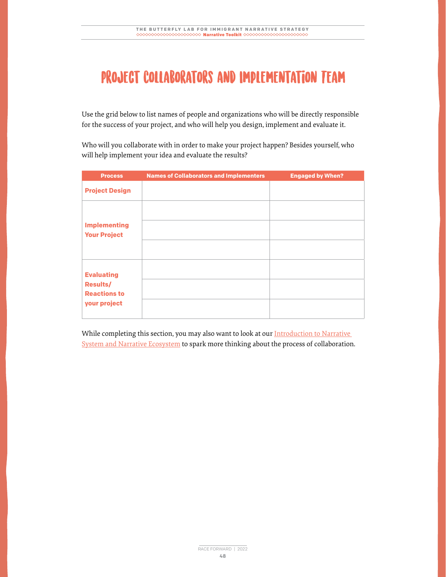### PROJECT COLLABORATORS AND IMPLEMENTATION TEAM

Use the grid below to list names of people and organizations who will be directly responsible for the success of your project, and who will help you design, implement and evaluate it.

Who will you collaborate with in order to make your project happen? Besides yourself, who will help implement your idea and evaluate the results?

| <b>Process</b>                             | <b>Names of Collaborators and Implementers</b> | <b>Engaged by When?</b> |
|--------------------------------------------|------------------------------------------------|-------------------------|
| <b>Project Design</b>                      |                                                |                         |
|                                            |                                                |                         |
| <b>Implementing</b><br><b>Your Project</b> |                                                |                         |
|                                            |                                                |                         |
| <b>Evaluating</b>                          |                                                |                         |
| <b>Results/</b><br><b>Reactions to</b>     |                                                |                         |
| your project                               |                                                |                         |

While completing this section, you may also want to look at our Introduction to Narrative System and Narrative Ecosystem to spark more thinking about the process of collaboration.